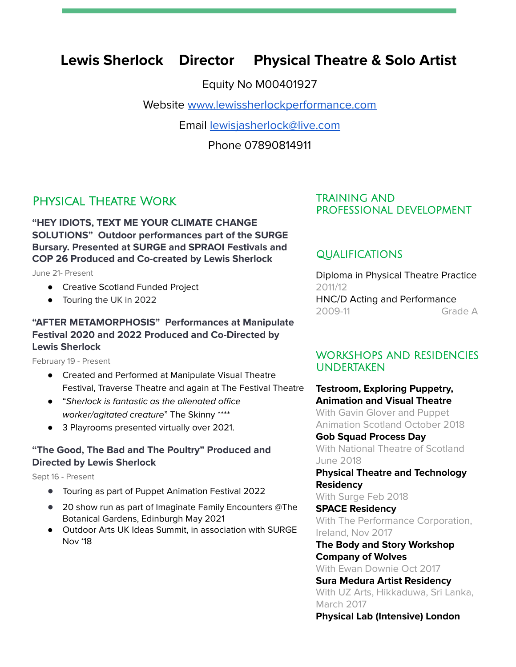# **Lewis Sherlock Director Physical Theatre & Solo Artist**

Equity No M00401927

Website [www.lewissherlockperformance.com](http://www.lewissherlockperformance.com)

Email [lewisjasherlock@live.com](mailto:lewisjasherlock@live.com)

Phone 07890814911

# Physical Theatre Work

**"HEY IDIOTS, TEXT ME YOUR CLIMATE CHANGE SOLUTIONS" Outdoor performances part of the SURGE Bursary. Presented at SURGE and SPRAOI Festivals and COP 26 Produced and Co-created by Lewis Sherlock**

June 21- Present

- Creative Scotland Funded Project
- Touring the UK in 2022

## **"AFTER METAMORPHOSIS" Performances at Manipulate Festival 2020 and 2022 Produced and Co-Directed by Lewis Sherlock**

February 19 - Present

- Created and Performed at Manipulate Visual Theatre Festival, Traverse Theatre and again at The Festival Theatre
- "Sherlock is fantastic as the alienated office worker/agitated creature" The Skinny \*\*\*\*
- 3 Playrooms presented virtually over 2021.

#### **"The Good, The Bad and The Poultry" Produced and Directed by Lewis Sherlock**

Sept 16 - Present

- **●** Touring as part of Puppet Animation Festival 2022
- **●** 20 show run as part of Imaginate Family Encounters @The Botanical Gardens, Edinburgh May 2021
- Outdoor Arts UK Ideas Summit, in association with SURGE Nov '18

## TRAINING AND PROFESSIONAL DEVELOPMENT

# QUALIFICATIONS

Diploma in Physical Theatre Practice 2011/12 HNC/D Acting and Performance 2009-11 Grade A

# WORKSHOPS AND RESIDENCIES UNDERTAKEN

**Testroom, Exploring Puppetry, Animation and Visual Theatre** With Gavin Glover and Puppet Animation Scotland October 2018

#### **Gob Squad Process Day**

With National Theatre of Scotland June 2018

**Physical Theatre and Technology Residency**

With Surge Feb 2018

**SPACE Residency** With The Performance Corporation, Ireland, Nov 2017

**The Body and Story Workshop Company of Wolves**

With Ewan Downie Oct 2017 **Sura Medura Artist Residency**

With UZ Arts, Hikkaduwa, Sri Lanka, March 2017 **Physical Lab (Intensive) London**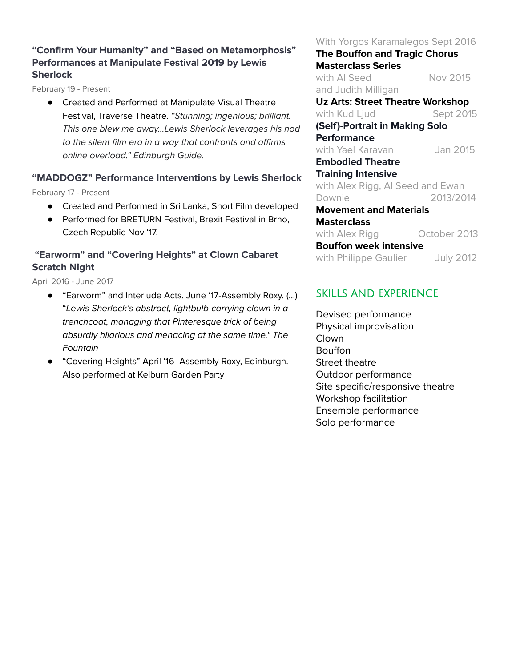# **"Confirm Your Humanity" and "Based on Metamorphosis" Performances at Manipulate Festival 2019 by Lewis Sherlock**

February 19 - Present

● Created and Performed at Manipulate Visual Theatre Festival, Traverse Theatre. "Stunning; ingenious; brilliant. This one blew me away...Lewis Sherlock leverages his nod to the silent film era in a way that confronts and affirms online overload." Edinburgh Guide.

# **"MADDOGZ" Performance Interventions by Lewis Sherlock**

February 17 - Present

- Created and Performed in Sri Lanka, Short Film developed
- Performed for BRETURN Festival, Brexit Festival in Brno, Czech Republic Nov '17.

# **"Earworm" and "Covering Heights" at Clown Cabaret Scratch Night**

April 2016 - June 2017

- "Earworm" and Interlude Acts. June '17-Assembly Roxy. (...) "Lewis Sherlock's abstract, lightbulb-carrying clown in a trenchcoat, managing that Pinteresque trick of being absurdly hilarious and menacing at the same time." The Fountain
- "Covering Heights" April '16- Assembly Roxy, Edinburgh. Also performed at Kelburn Garden Party

#### With Yorgos Karamalegos Sept 2016

**The Bouffon and Tragic Chorus Masterclass Series** with Al Seed Nov 2015 and Judith Milligan **Uz Arts: Street Theatre Workshop** with Kud Ljud Sept 2015 **(Self)-Portrait in Making Solo Performance** with Yael Karavan Jan 2015 **Embodied Theatre Training Intensive** with Alex Rigg, Al Seed and Ewan Downie 2013/2014 **Movement and Materials Masterclass**

with Alex Rigg **Conser 2013 Bouffon week intensive** with Philippe Gaulier July 2012

# SKILLS AND EXPERIENCE

Devised performance Physical improvisation **Clown** Bouffon Street theatre Outdoor performance Site specific/responsive theatre Workshop facilitation Ensemble performance Solo performance